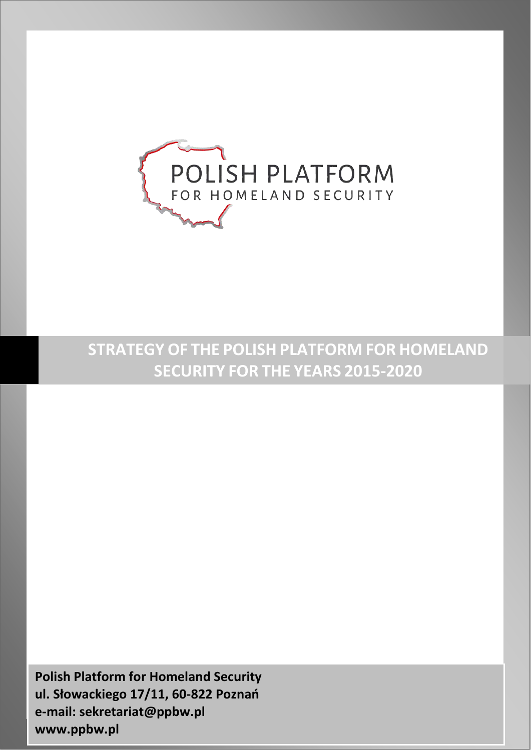

# **STRATEGY OF THE POLISH PLATFORM FOR HOMELAND SECURITY FOR THE YEARS 2015-2020**

*Strategy of the Polish Platform for Homeland Security for the years 2015-2020* **ul. Słowackiego 17/11, 60-822 Poznań Polish Platform for Homeland Security e-mail: [sekretariat@ppbw.pl](mailto:sekretariat@ppbw.pl) [www.ppbw.pl](http://www.ppbw.pl/)**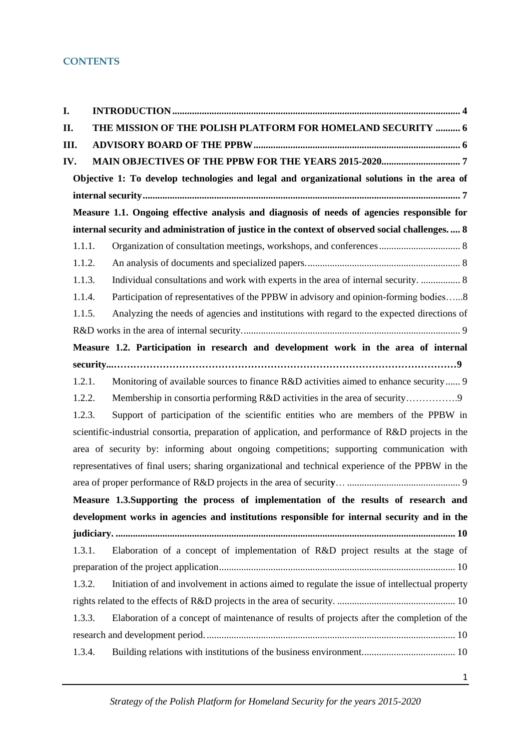### **CONTENTS**

| I.  |                                                                                                  |                                                                                                     |  |  |  |
|-----|--------------------------------------------------------------------------------------------------|-----------------------------------------------------------------------------------------------------|--|--|--|
| П.  |                                                                                                  | THE MISSION OF THE POLISH PLATFORM FOR HOMELAND SECURITY  6                                         |  |  |  |
| Ш.  |                                                                                                  |                                                                                                     |  |  |  |
| IV. |                                                                                                  |                                                                                                     |  |  |  |
|     |                                                                                                  | Objective 1: To develop technologies and legal and organizational solutions in the area of          |  |  |  |
|     |                                                                                                  |                                                                                                     |  |  |  |
|     | Measure 1.1. Ongoing effective analysis and diagnosis of needs of agencies responsible for       |                                                                                                     |  |  |  |
|     | internal security and administration of justice in the context of observed social challenges.  8 |                                                                                                     |  |  |  |
|     | 1.1.1.                                                                                           |                                                                                                     |  |  |  |
|     | 1.1.2.                                                                                           |                                                                                                     |  |  |  |
|     | 1.1.3.                                                                                           | Individual consultations and work with experts in the area of internal security.  8                 |  |  |  |
|     | 1.1.4.                                                                                           | Participation of representatives of the PPBW in advisory and opinion-forming bodies8                |  |  |  |
|     | 1.1.5.                                                                                           | Analyzing the needs of agencies and institutions with regard to the expected directions of          |  |  |  |
|     |                                                                                                  |                                                                                                     |  |  |  |
|     |                                                                                                  | Measure 1.2. Participation in research and development work in the area of internal                 |  |  |  |
|     |                                                                                                  |                                                                                                     |  |  |  |
|     | 1.2.1.                                                                                           | Monitoring of available sources to finance R&D activities aimed to enhance security 9               |  |  |  |
|     | 1.2.2.                                                                                           | Membership in consortia performing R&D activities in the area of security                           |  |  |  |
|     | 1.2.3.                                                                                           | Support of participation of the scientific entities who are members of the PPBW in                  |  |  |  |
|     |                                                                                                  | scientific-industrial consortia, preparation of application, and performance of R&D projects in the |  |  |  |
|     |                                                                                                  | area of security by: informing about ongoing competitions; supporting communication with            |  |  |  |
|     |                                                                                                  | representatives of final users; sharing organizational and technical experience of the PPBW in the  |  |  |  |
|     |                                                                                                  |                                                                                                     |  |  |  |
|     |                                                                                                  | Measure 1.3.Supporting the process of implementation of the results of research and                 |  |  |  |
|     |                                                                                                  | development works in agencies and institutions responsible for internal security and in the         |  |  |  |
|     |                                                                                                  |                                                                                                     |  |  |  |
|     | 1.3.1.                                                                                           | Elaboration of a concept of implementation of R&D project results at the stage of                   |  |  |  |
|     |                                                                                                  |                                                                                                     |  |  |  |
|     | 1.3.2.                                                                                           | Initiation of and involvement in actions aimed to regulate the issue of intellectual property       |  |  |  |
|     |                                                                                                  |                                                                                                     |  |  |  |
|     | 1.3.3.                                                                                           | Elaboration of a concept of maintenance of results of projects after the completion of the          |  |  |  |
|     |                                                                                                  |                                                                                                     |  |  |  |
|     | 1.3.4.                                                                                           |                                                                                                     |  |  |  |
|     |                                                                                                  |                                                                                                     |  |  |  |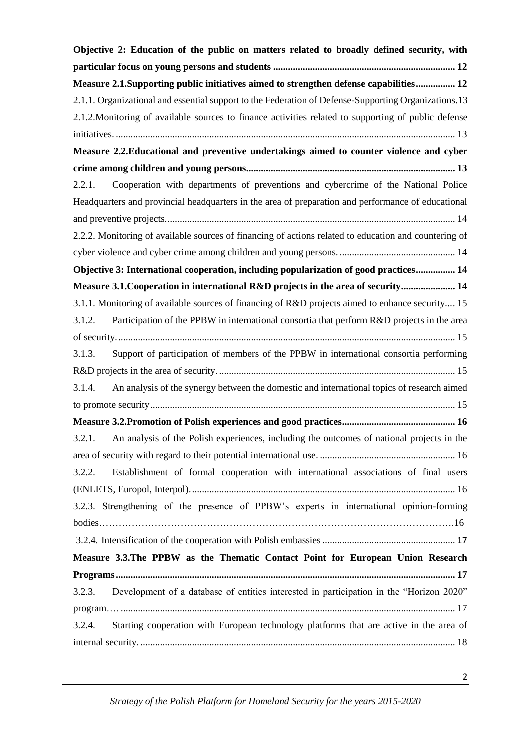| Objective 2: Education of the public on matters related to broadly defined security, with             |  |  |  |  |
|-------------------------------------------------------------------------------------------------------|--|--|--|--|
|                                                                                                       |  |  |  |  |
| Measure 2.1.Supporting public initiatives aimed to strengthen defense capabilities 12                 |  |  |  |  |
| 2.1.1. Organizational and essential support to the Federation of Defense-Supporting Organizations.13  |  |  |  |  |
| 2.1.2. Monitoring of available sources to finance activities related to supporting of public defense  |  |  |  |  |
|                                                                                                       |  |  |  |  |
| Measure 2.2. Educational and preventive undertakings aimed to counter violence and cyber              |  |  |  |  |
|                                                                                                       |  |  |  |  |
| Cooperation with departments of preventions and cybercrime of the National Police<br>2.2.1.           |  |  |  |  |
| Headquarters and provincial headquarters in the area of preparation and performance of educational    |  |  |  |  |
|                                                                                                       |  |  |  |  |
| 2.2.2. Monitoring of available sources of financing of actions related to education and countering of |  |  |  |  |
|                                                                                                       |  |  |  |  |
| Objective 3: International cooperation, including popularization of good practices 14                 |  |  |  |  |
| Measure 3.1. Cooperation in international R&D projects in the area of security 14                     |  |  |  |  |
| 3.1.1. Monitoring of available sources of financing of R&D projects aimed to enhance security 15      |  |  |  |  |
| Participation of the PPBW in international consortia that perform R&D projects in the area<br>3.1.2.  |  |  |  |  |
|                                                                                                       |  |  |  |  |
| Support of participation of members of the PPBW in international consortia performing<br>3.1.3.       |  |  |  |  |
|                                                                                                       |  |  |  |  |
| An analysis of the synergy between the domestic and international topics of research aimed<br>3.1.4.  |  |  |  |  |
|                                                                                                       |  |  |  |  |
|                                                                                                       |  |  |  |  |
| 3.2.1. An analysis of the Polish experiences, including the outcomes of national projects in the      |  |  |  |  |
|                                                                                                       |  |  |  |  |
| Establishment of formal cooperation with international associations of final users<br>3.2.2.          |  |  |  |  |
|                                                                                                       |  |  |  |  |
| 3.2.3. Strengthening of the presence of PPBW's experts in international opinion-forming               |  |  |  |  |
|                                                                                                       |  |  |  |  |
|                                                                                                       |  |  |  |  |
| Measure 3.3. The PPBW as the Thematic Contact Point for European Union Research                       |  |  |  |  |
|                                                                                                       |  |  |  |  |
| Development of a database of entities interested in participation in the "Horizon 2020"<br>3.2.3.     |  |  |  |  |
|                                                                                                       |  |  |  |  |
| Starting cooperation with European technology platforms that are active in the area of<br>3.2.4.      |  |  |  |  |
|                                                                                                       |  |  |  |  |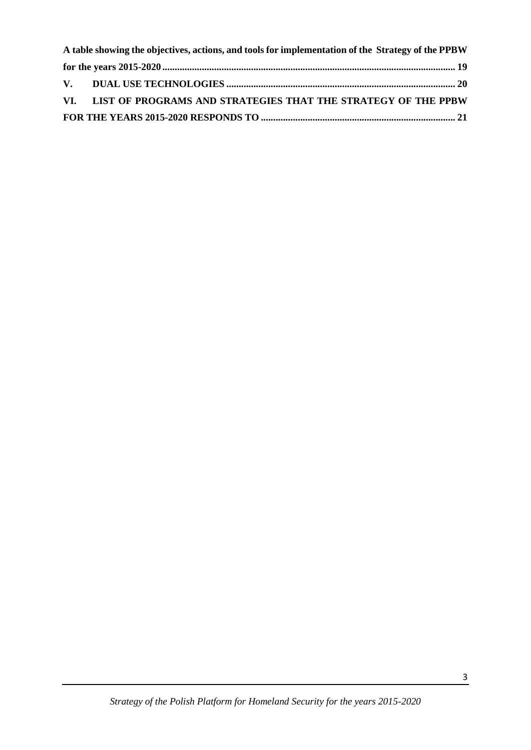| A table showing the objectives, actions, and tools for implementation of the Strategy of the PPBW |                                                                   |  |  |  |  |
|---------------------------------------------------------------------------------------------------|-------------------------------------------------------------------|--|--|--|--|
|                                                                                                   |                                                                   |  |  |  |  |
|                                                                                                   |                                                                   |  |  |  |  |
|                                                                                                   | VI. LIST OF PROGRAMS AND STRATEGIES THAT THE STRATEGY OF THE PPBW |  |  |  |  |
|                                                                                                   |                                                                   |  |  |  |  |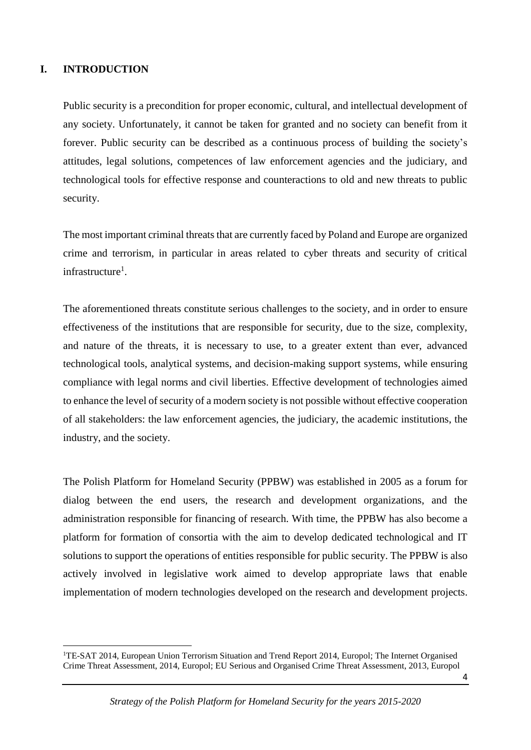#### <span id="page-4-0"></span>**I. INTRODUCTION**

**.** 

Public security is a precondition for proper economic, cultural, and intellectual development of any society. Unfortunately, it cannot be taken for granted and no society can benefit from it forever. Public security can be described as a continuous process of building the society's attitudes, legal solutions, competences of law enforcement agencies and the judiciary, and technological tools for effective response and counteractions to old and new threats to public security.

The most important criminal threats that are currently faced by Poland and Europe are organized crime and terrorism, in particular in areas related to cyber threats and security of critical infrastructure<sup>1</sup>.

The aforementioned threats constitute serious challenges to the society, and in order to ensure effectiveness of the institutions that are responsible for security, due to the size, complexity, and nature of the threats, it is necessary to use, to a greater extent than ever, advanced technological tools, analytical systems, and decision-making support systems, while ensuring compliance with legal norms and civil liberties. Effective development of technologies aimed to enhance the level of security of a modern society is not possible without effective cooperation of all stakeholders: the law enforcement agencies, the judiciary, the academic institutions, the industry, and the society.

The Polish Platform for Homeland Security (PPBW) was established in 2005 as a forum for dialog between the end users, the research and development organizations, and the administration responsible for financing of research. With time, the PPBW has also become a platform for formation of consortia with the aim to develop dedicated technological and IT solutions to support the operations of entities responsible for public security. The PPBW is also actively involved in legislative work aimed to develop appropriate laws that enable implementation of modern technologies developed on the research and development projects.

<sup>&</sup>lt;sup>1</sup>TE-SAT 2014, European Union Terrorism Situation and Trend Report 2014, Europol; The Internet Organised Crime Threat Assessment, 2014, Europol; EU Serious and Organised Crime Threat Assessment, 2013, Europol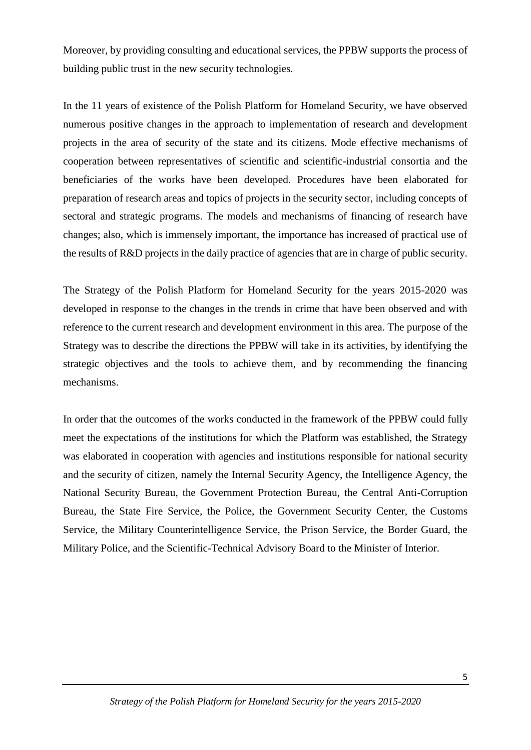Moreover, by providing consulting and educational services, the PPBW supports the process of building public trust in the new security technologies.

In the 11 years of existence of the Polish Platform for Homeland Security, we have observed numerous positive changes in the approach to implementation of research and development projects in the area of security of the state and its citizens. Mode effective mechanisms of cooperation between representatives of scientific and scientific-industrial consortia and the beneficiaries of the works have been developed. Procedures have been elaborated for preparation of research areas and topics of projects in the security sector, including concepts of sectoral and strategic programs. The models and mechanisms of financing of research have changes; also, which is immensely important, the importance has increased of practical use of the results of R&D projects in the daily practice of agencies that are in charge of public security.

The Strategy of the Polish Platform for Homeland Security for the years 2015-2020 was developed in response to the changes in the trends in crime that have been observed and with reference to the current research and development environment in this area. The purpose of the Strategy was to describe the directions the PPBW will take in its activities, by identifying the strategic objectives and the tools to achieve them, and by recommending the financing mechanisms.

In order that the outcomes of the works conducted in the framework of the PPBW could fully meet the expectations of the institutions for which the Platform was established, the Strategy was elaborated in cooperation with agencies and institutions responsible for national security and the security of citizen, namely the Internal Security Agency, the Intelligence Agency, the National Security Bureau, the Government Protection Bureau, the Central Anti-Corruption Bureau, the State Fire Service, the Police, the Government Security Center, the Customs Service, the Military Counterintelligence Service, the Prison Service, the Border Guard, the Military Police, and the Scientific-Technical Advisory Board to the Minister of Interior.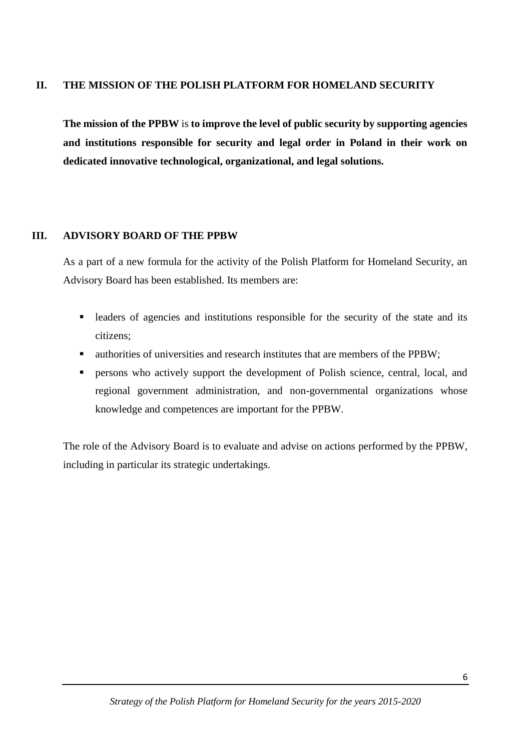#### <span id="page-6-0"></span>**II. THE MISSION OF THE POLISH PLATFORM FOR HOMELAND SECURITY**

**The mission of the PPBW** is **to improve the level of public security by supporting agencies and institutions responsible for security and legal order in Poland in their work on dedicated innovative technological, organizational, and legal solutions.**

#### <span id="page-6-1"></span>**III. ADVISORY BOARD OF THE PPBW**

As a part of a new formula for the activity of the Polish Platform for Homeland Security, an Advisory Board has been established. Its members are:

- leaders of agencies and institutions responsible for the security of the state and its citizens;
- authorities of universities and research institutes that are members of the PPBW;
- persons who actively support the development of Polish science, central, local, and regional government administration, and non-governmental organizations whose knowledge and competences are important for the PPBW.

The role of the Advisory Board is to evaluate and advise on actions performed by the PPBW, including in particular its strategic undertakings.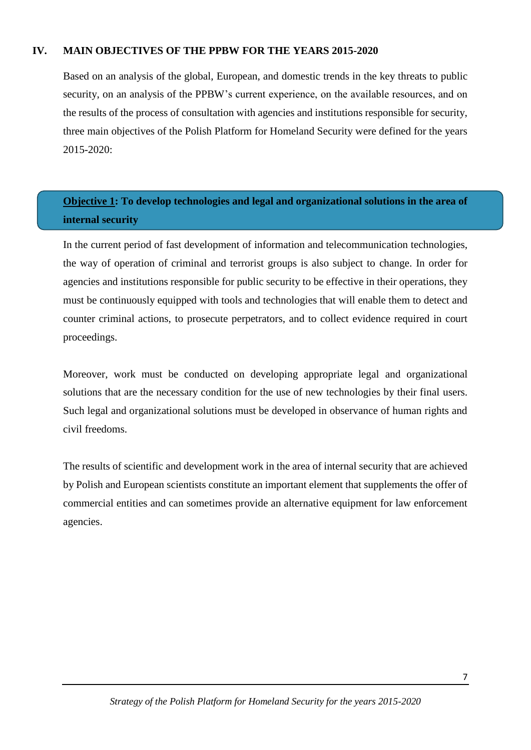#### **IV. MAIN OBJECTIVES OF THE PPBW FOR THE YEARS 2015-2020**

<span id="page-7-0"></span>Based on an analysis of the global, European, and domestic trends in the key threats to public security, on an analysis of the PPBW's current experience, on the available resources, and on the results of the process of consultation with agencies and institutions responsible for security, three main objectives of the Polish Platform for Homeland Security were defined for the years 2015-2020:

## <span id="page-7-1"></span>**Objective 1: To develop technologies and legal and organizational solutions in the area of internal security**

In the current period of fast development of information and telecommunication technologies, the way of operation of criminal and terrorist groups is also subject to change. In order for agencies and institutions responsible for public security to be effective in their operations, they must be continuously equipped with tools and technologies that will enable them to detect and counter criminal actions, to prosecute perpetrators, and to collect evidence required in court proceedings.

Moreover, work must be conducted on developing appropriate legal and organizational solutions that are the necessary condition for the use of new technologies by their final users. Such legal and organizational solutions must be developed in observance of human rights and civil freedoms.

The results of scientific and development work in the area of internal security that are achieved by Polish and European scientists constitute an important element that supplements the offer of commercial entities and can sometimes provide an alternative equipment for law enforcement agencies.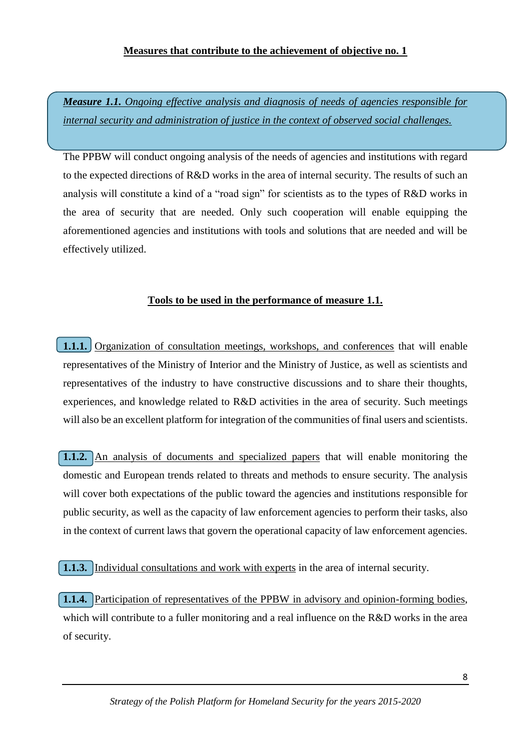#### **Measures that contribute to the achievement of objective no. 1**

<span id="page-8-0"></span>*Measure 1.1. Ongoing effective analysis and diagnosis of needs of agencies responsible for internal security and administration of justice in the context of observed social challenges.*

The PPBW will conduct ongoing analysis of the needs of agencies and institutions with regard to the expected directions of R&D works in the area of internal security. The results of such an analysis will constitute a kind of a "road sign" for scientists as to the types of R&D works in the area of security that are needed. Only such cooperation will enable equipping the aforementioned agencies and institutions with tools and solutions that are needed and will be effectively utilized.

### **Tools to be used in the performance of measure 1.1.**

<span id="page-8-1"></span>**1.1.1.** Organization of consultation meetings, workshops, and conferences that will enable representatives of the Ministry of Interior and the Ministry of Justice, as well as scientists and representatives of the industry to have constructive discussions and to share their thoughts, experiences, and knowledge related to R&D activities in the area of security. Such meetings will also be an excellent platform for integration of the communities of final users and scientists.

<span id="page-8-2"></span>**1.1.2.** An analysis of documents and specialized papers that will enable monitoring the domestic and European trends related to threats and methods to ensure security. The analysis will cover both expectations of the public toward the agencies and institutions responsible for public security, as well as the capacity of law enforcement agencies to perform their tasks, also in the context of current laws that govern the operational capacity of law enforcement agencies.

<span id="page-8-3"></span>**1.1.3.** Individual consultations and work with experts in the area of internal security.

<span id="page-8-4"></span>**1.1.4.** Participation of representatives of the PPBW in advisory and opinion-forming bodies, which will contribute to a fuller monitoring and a real influence on the R&D works in the area of security.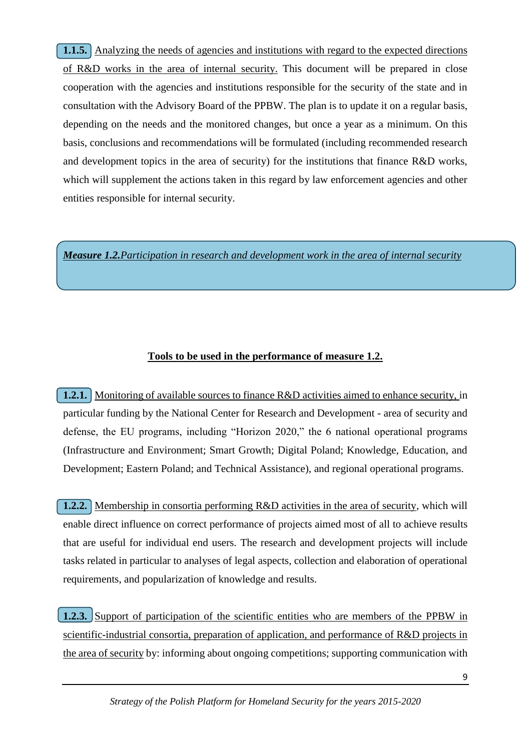<span id="page-9-0"></span>**1.1.5.** Analyzing the needs of agencies and institutions with regard to the expected directions of R&D works in the area of internal security. This document will be prepared in close cooperation with the agencies and institutions responsible for the security of the state and in consultation with the Advisory Board of the PPBW. The plan is to update it on a regular basis, depending on the needs and the monitored changes, but once a year as a minimum. On this basis, conclusions and recommendations will be formulated (including recommended research and development topics in the area of security) for the institutions that finance R&D works, which will supplement the actions taken in this regard by law enforcement agencies and other entities responsible for internal security.

<span id="page-9-1"></span>*Measure 1.2.Participation in research and development work in the area of internal security*

### **Tools to be used in the performance of measure 1.2.**

<span id="page-9-2"></span>**1.2.1.** Monitoring of available sources to finance R&D activities aimed to enhance security, in particular funding by the National Center for Research and Development - area of security and defense, the EU programs, including "Horizon 2020," the 6 national operational programs (Infrastructure and Environment; Smart Growth; Digital Poland; Knowledge, Education, and Development; Eastern Poland; and Technical Assistance), and regional operational programs.

<span id="page-9-3"></span>**1.2.2.** Membership in consortia performing R&D activities in the area of security, which will enable direct influence on correct performance of projects aimed most of all to achieve results that are useful for individual end users. The research and development projects will include tasks related in particular to analyses of legal aspects, collection and elaboration of operational requirements, and popularization of knowledge and results.

<span id="page-9-4"></span>**1.2.3.** Support of participation of the scientific entities who are members of the PPBW in scientific-industrial consortia, preparation of application, and performance of R&D projects in the area of security by: informing about ongoing competitions; supporting communication with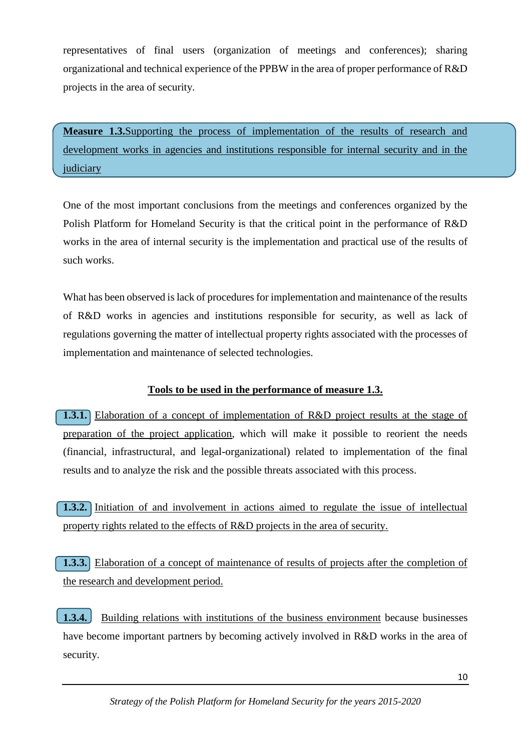representatives of final users (organization of meetings and conferences); sharing organizational and technical experience of the PPBW in the area of proper performance of R&D projects in the area of security.

<span id="page-10-0"></span>**Measure 1.3.**Supporting the process of implementation of the results of research and development works in agencies and institutions responsible for internal security and in the judiciary

One of the most important conclusions from the meetings and conferences organized by the Polish Platform for Homeland Security is that the critical point in the performance of R&D works in the area of internal security is the implementation and practical use of the results of such works.

What has been observed is lack of procedures for implementation and maintenance of the results of R&D works in agencies and institutions responsible for security, as well as lack of regulations governing the matter of intellectual property rights associated with the processes of implementation and maintenance of selected technologies.

### **Tools to be used in the performance of measure 1.3.**

<span id="page-10-1"></span>**1.3.1.** Elaboration of a concept of implementation of R&D project results at the stage of preparation of the project application, which will make it possible to reorient the needs (financial, infrastructural, and legal-organizational) related to implementation of the final results and to analyze the risk and the possible threats associated with this process.

<span id="page-10-2"></span>**1.3.2.** Initiation of and involvement in actions aimed to regulate the issue of intellectual property rights related to the effects of R&D projects in the area of security.

<span id="page-10-3"></span>**1.3.3.** Elaboration of a concept of maintenance of results of projects after the completion of the research and development period.

<span id="page-10-4"></span>**1.3.4.** Building relations with institutions of the business environment because businesses have become important partners by becoming actively involved in R&D works in the area of security.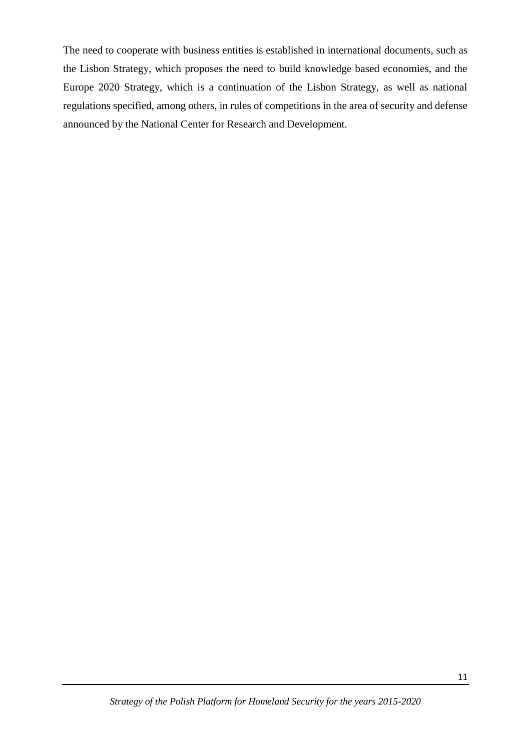The need to cooperate with business entities is established in international documents, such as the Lisbon Strategy, which proposes the need to build knowledge based economies, and the Europe 2020 Strategy, which is a continuation of the Lisbon Strategy, as well as national regulations specified, among others, in rules of competitions in the area of security and defense announced by the National Center for Research and Development.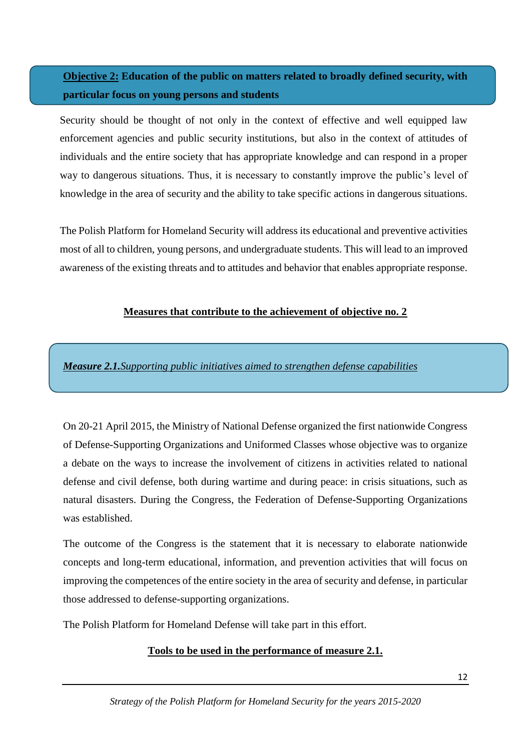## <span id="page-12-0"></span>**Objective 2: Education of the public on matters related to broadly defined security, with particular focus on young persons and students**

Security should be thought of not only in the context of effective and well equipped law enforcement agencies and public security institutions, but also in the context of attitudes of individuals and the entire society that has appropriate knowledge and can respond in a proper way to dangerous situations. Thus, it is necessary to constantly improve the public's level of knowledge in the area of security and the ability to take specific actions in dangerous situations.

The Polish Platform for Homeland Security will address its educational and preventive activities most of all to children, young persons, and undergraduate students. This will lead to an improved awareness of the existing threats and to attitudes and behavior that enables appropriate response.

#### **Measures that contribute to the achievement of objective no. 2**

<span id="page-12-1"></span>*Measure 2.1.Supporting public initiatives aimed to strengthen defense capabilities*

On 20-21 April 2015, the Ministry of National Defense organized the first nationwide Congress of Defense-Supporting Organizations and Uniformed Classes whose objective was to organize a debate on the ways to increase the involvement of citizens in activities related to national defense and civil defense, both during wartime and during peace: in crisis situations, such as natural disasters. During the Congress, the Federation of Defense-Supporting Organizations was established.

The outcome of the Congress is the statement that it is necessary to elaborate nationwide concepts and long-term educational, information, and prevention activities that will focus on improving the competences of the entire society in the area of security and defense, in particular those addressed to defense-supporting organizations.

The Polish Platform for Homeland Defense will take part in this effort.

#### **Tools to be used in the performance of measure 2.1.**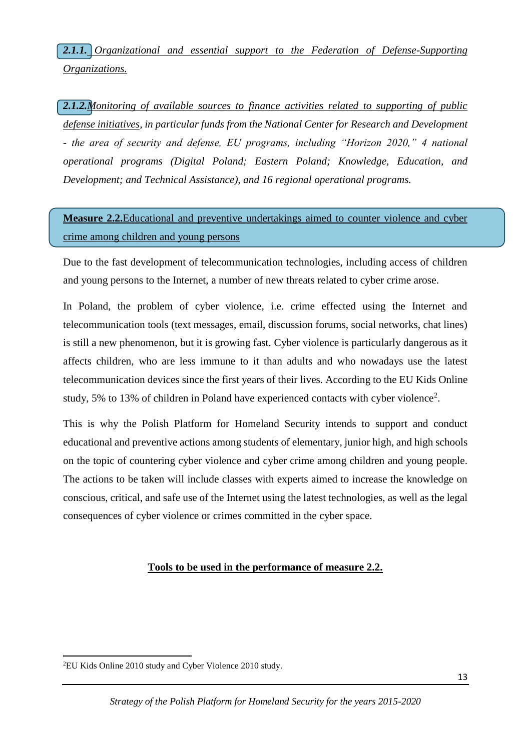<span id="page-13-0"></span>*2.1.1. Organizational and essential support to the Federation of Defense-Supporting Organizations.*

<span id="page-13-1"></span>*2.1.2.Monitoring of available sources to finance activities related to supporting of public defense initiatives, in particular funds from the National Center for Research and Development - the area of security and defense, EU programs, including "Horizon 2020," 4 national operational programs (Digital Poland; Eastern Poland; Knowledge, Education, and Development; and Technical Assistance), and 16 regional operational programs.*

<span id="page-13-2"></span>**Measure 2.2.**Educational and preventive undertakings aimed to counter violence and cyber crime among children and young persons

Due to the fast development of telecommunication technologies, including access of children and young persons to the Internet, a number of new threats related to cyber crime arose.

In Poland, the problem of cyber violence, i.e. crime effected using the Internet and telecommunication tools (text messages, email, discussion forums, social networks, chat lines) is still a new phenomenon, but it is growing fast. Cyber violence is particularly dangerous as it affects children, who are less immune to it than adults and who nowadays use the latest telecommunication devices since the first years of their lives. According to the EU Kids Online study, 5% to 13% of children in Poland have experienced contacts with cyber violence<sup>2</sup>.

This is why the Polish Platform for Homeland Security intends to support and conduct educational and preventive actions among students of elementary, junior high, and high schools on the topic of countering cyber violence and cyber crime among children and young people. The actions to be taken will include classes with experts aimed to increase the knowledge on conscious, critical, and safe use of the Internet using the latest technologies, as well as the legal consequences of cyber violence or crimes committed in the cyber space.

#### **Tools to be used in the performance of measure 2.2.**

 $\overline{a}$ 2EU Kids Online 2010 study and Cyber Violence 2010 study.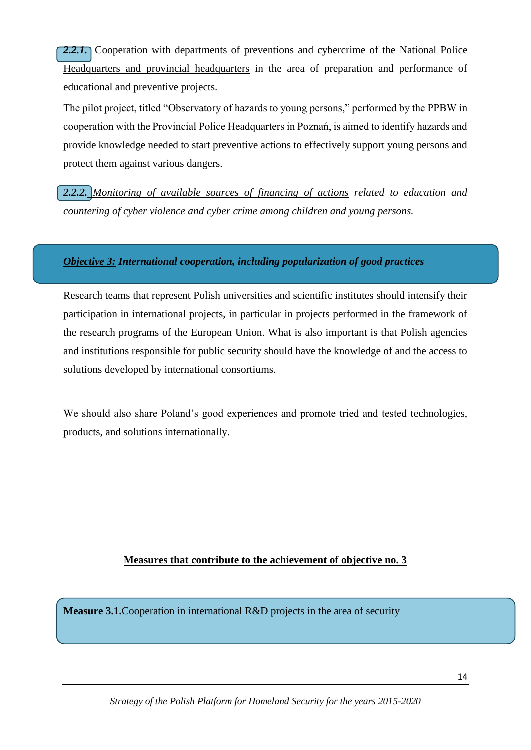<span id="page-14-0"></span>2.2.1. Cooperation with departments of preventions and cybercrime of the National Police Headquarters and provincial headquarters in the area of preparation and performance of educational and preventive projects.

The pilot project, titled "Observatory of hazards to young persons," performed by the PPBW in cooperation with the Provincial Police Headquarters in Poznań, is aimed to identify hazards and provide knowledge needed to start preventive actions to effectively support young persons and protect them against various dangers.

<span id="page-14-1"></span>*2.2.2. Monitoring of available sources of financing of actions related to education and countering of cyber violence and cyber crime among children and young persons.*

#### <span id="page-14-2"></span>*Objective 3: International cooperation, including popularization of good practices*

Research teams that represent Polish universities and scientific institutes should intensify their participation in international projects, in particular in projects performed in the framework of the research programs of the European Union. What is also important is that Polish agencies and institutions responsible for public security should have the knowledge of and the access to solutions developed by international consortiums.

We should also share Poland's good experiences and promote tried and tested technologies, products, and solutions internationally.

#### **Measures that contribute to the achievement of objective no. 3**

<span id="page-14-3"></span>**Measure 3.1.**Cooperation in international R&D projects in the area of security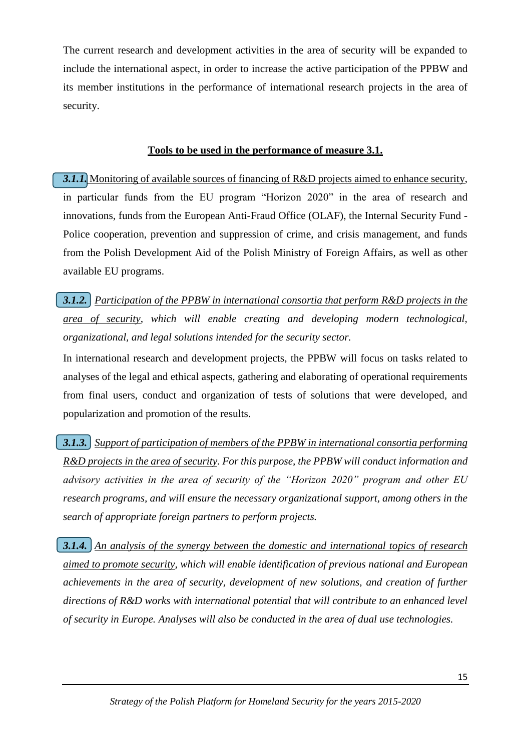The current research and development activities in the area of security will be expanded to include the international aspect, in order to increase the active participation of the PPBW and its member institutions in the performance of international research projects in the area of security.

#### **Tools to be used in the performance of measure 3.1.**

<span id="page-15-0"></span>**3.1.1.** Monitoring of available sources of financing of R&D projects aimed to enhance security, in particular funds from the EU program "Horizon 2020" in the area of research and innovations, funds from the European Anti-Fraud Office (OLAF), the Internal Security Fund - Police cooperation, prevention and suppression of crime, and crisis management, and funds from the Polish Development Aid of the Polish Ministry of Foreign Affairs, as well as other available EU programs.

<span id="page-15-1"></span>*3.1.2. Participation of the PPBW in international consortia that perform R&D projects in the area of security, which will enable creating and developing modern technological, organizational, and legal solutions intended for the security sector.*

In international research and development projects, the PPBW will focus on tasks related to analyses of the legal and ethical aspects, gathering and elaborating of operational requirements from final users, conduct and organization of tests of solutions that were developed, and popularization and promotion of the results.

<span id="page-15-2"></span>*3.1.3. Support of participation of members of the PPBW in international consortia performing R&D projects in the area of security. For this purpose, the PPBW will conduct information and advisory activities in the area of security of the "Horizon 2020" program and other EU research programs, and will ensure the necessary organizational support, among others in the search of appropriate foreign partners to perform projects.*

<span id="page-15-4"></span><span id="page-15-3"></span>*3.1.4. An analysis of the synergy between the domestic and international topics of research aimed to promote security, which will enable identification of previous national and European achievements in the area of security, development of new solutions, and creation of further directions of R&D works with international potential that will contribute to an enhanced level of security in Europe. Analyses will also be conducted in the area of dual use technologies.*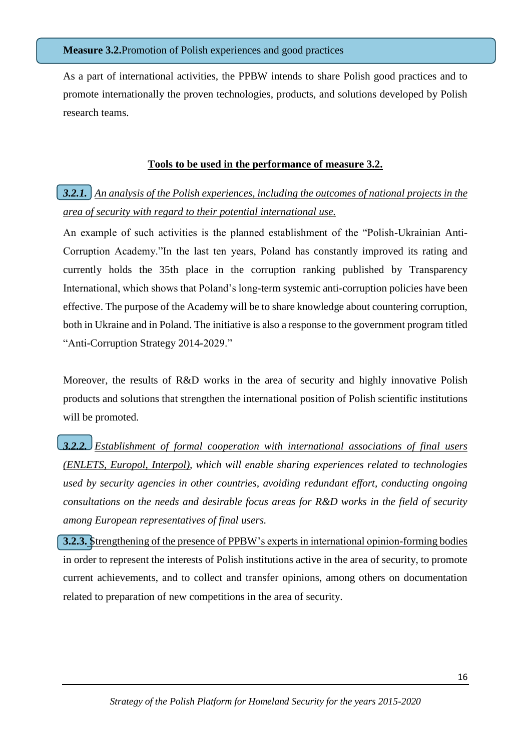#### **Measure 3.2.**Promotion of Polish experiences and good practices

As a part of international activities, the PPBW intends to share Polish good practices and to promote internationally the proven technologies, products, and solutions developed by Polish research teams.

#### **Tools to be used in the performance of measure 3.2.**

## <span id="page-16-0"></span>*3.2.1. An analysis of the Polish experiences, including the outcomes of national projects in the area of security with regard to their potential international use.*

An example of such activities is the planned establishment of the "Polish-Ukrainian Anti-Corruption Academy."In the last ten years, Poland has constantly improved its rating and currently holds the 35th place in the corruption ranking published by Transparency International, which shows that Poland's long-term systemic anti-corruption policies have been effective. The purpose of the Academy will be to share knowledge about countering corruption, both in Ukraine and in Poland. The initiative is also a response to the government program titled "Anti-Corruption Strategy 2014-2029."

Moreover, the results of R&D works in the area of security and highly innovative Polish products and solutions that strengthen the international position of Polish scientific institutions will be promoted.

<span id="page-16-1"></span>*3.2.2. Establishment of formal cooperation with international associations of final users (ENLETS, Europol, Interpol), which will enable sharing experiences related to technologies used by security agencies in other countries, avoiding redundant effort, conducting ongoing consultations on the needs and desirable focus areas for R&D works in the field of security among European representatives of final users.*

<span id="page-16-2"></span>**3.2.3.** Strengthening of the presence of PPBW's experts in international opinion-forming bodies in order to represent the interests of Polish institutions active in the area of security, to promote current achievements, and to collect and transfer opinions, among others on documentation related to preparation of new competitions in the area of security.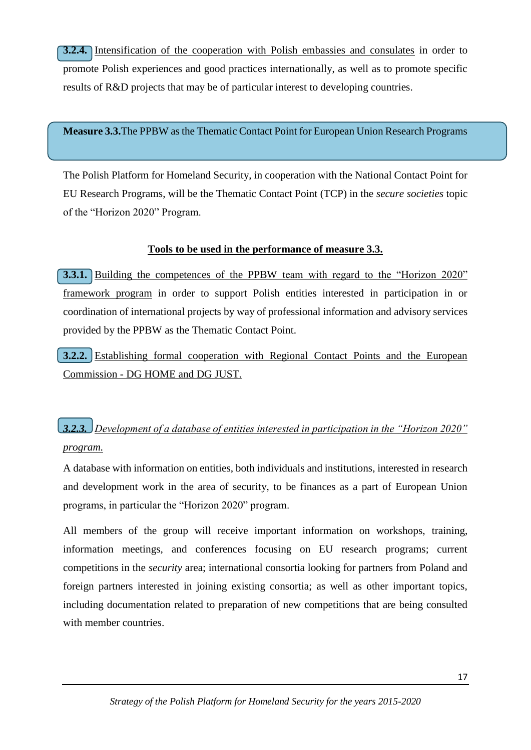<span id="page-17-0"></span>**3.2.4.** Intensification of the cooperation with Polish embassies and consulates in order to promote Polish experiences and good practices internationally, as well as to promote specific results of R&D projects that may be of particular interest to developing countries.

<span id="page-17-1"></span>**Measure 3.3.**The PPBW as the Thematic Contact Point for European Union Research Programs

The Polish Platform for Homeland Security, in cooperation with the National Contact Point for EU Research Programs, will be the Thematic Contact Point (TCP) in the *secure societies* topic of the "Horizon 2020" Program.

## **Tools to be used in the performance of measure 3.3.**

**3.3.1.** Building the competences of the PPBW team with regard to the "Horizon 2020" framework program in order to support Polish entities interested in participation in or coordination of international projects by way of professional information and advisory services provided by the PPBW as the Thematic Contact Point.

**3.2.2.** Establishing formal cooperation with Regional Contact Points and the European Commission - DG HOME and DG JUST.

## <span id="page-17-2"></span>*3.2.3. Development of a database of entities interested in participation in the "Horizon 2020" program.*

A database with information on entities, both individuals and institutions, interested in research and development work in the area of security, to be finances as a part of European Union programs, in particular the "Horizon 2020" program.

All members of the group will receive important information on workshops, training, information meetings, and conferences focusing on EU research programs; current competitions in the *security* area; international consortia looking for partners from Poland and foreign partners interested in joining existing consortia; as well as other important topics, including documentation related to preparation of new competitions that are being consulted with member countries.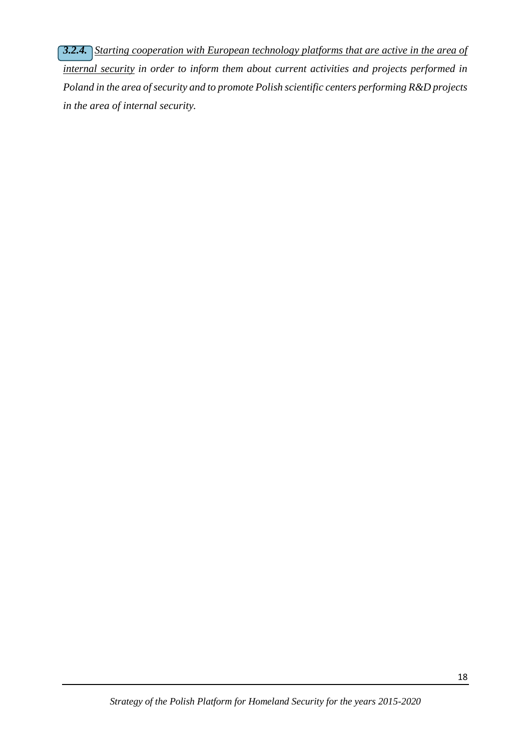<span id="page-18-0"></span>*3.2.4. Starting cooperation with European technology platforms that are active in the area of internal security in order to inform them about current activities and projects performed in Poland in the area of security and to promote Polish scientific centers performing R&D projects in the area of internal security.*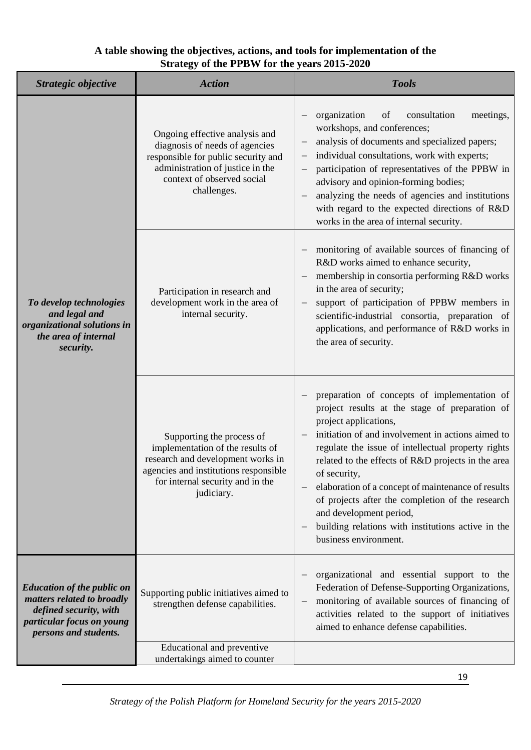### <span id="page-19-0"></span>**A table showing the objectives, actions, and tools for implementation of the Strategy of the PPBW for the years 2015-2020**

| Strategic objective                                                                                                                             | <b>Action</b>                                                                                                                                                                                 | <b>Tools</b>                                                                                                                                                                                                                                                                                                                                                                                                                                                                                                                 |
|-------------------------------------------------------------------------------------------------------------------------------------------------|-----------------------------------------------------------------------------------------------------------------------------------------------------------------------------------------------|------------------------------------------------------------------------------------------------------------------------------------------------------------------------------------------------------------------------------------------------------------------------------------------------------------------------------------------------------------------------------------------------------------------------------------------------------------------------------------------------------------------------------|
|                                                                                                                                                 | Ongoing effective analysis and<br>diagnosis of needs of agencies<br>responsible for public security and<br>administration of justice in the<br>context of observed social<br>challenges.      | organization<br>consultation<br>of<br>meetings,<br>workshops, and conferences;<br>analysis of documents and specialized papers;<br>individual consultations, work with experts;<br>participation of representatives of the PPBW in<br>advisory and opinion-forming bodies;<br>analyzing the needs of agencies and institutions<br>with regard to the expected directions of R&D<br>works in the area of internal security.                                                                                                   |
| To develop technologies<br>and legal and<br>organizational solutions in<br>the area of internal<br>security.                                    | Participation in research and<br>development work in the area of<br>internal security.                                                                                                        | monitoring of available sources of financing of<br>R&D works aimed to enhance security,<br>membership in consortia performing R&D works<br>in the area of security;<br>support of participation of PPBW members in<br>scientific-industrial consortia, preparation of<br>applications, and performance of R&D works in<br>the area of security.                                                                                                                                                                              |
|                                                                                                                                                 | Supporting the process of<br>implementation of the results of<br>research and development works in<br>agencies and institutions responsible<br>for internal security and in the<br>judiciary. | preparation of concepts of implementation of<br>project results at the stage of preparation of<br>project applications,<br>initiation of and involvement in actions aimed to<br>regulate the issue of intellectual property rights<br>related to the effects of R&D projects in the area<br>of security,<br>elaboration of a concept of maintenance of results<br>of projects after the completion of the research<br>and development period,<br>building relations with institutions active in the<br>business environment. |
| <b>Education of the public on</b><br>matters related to broadly<br>defined security, with<br>particular focus on young<br>persons and students. | Supporting public initiatives aimed to<br>strengthen defense capabilities.                                                                                                                    | organizational and essential support to the<br>Federation of Defense-Supporting Organizations,<br>monitoring of available sources of financing of<br>activities related to the support of initiatives<br>aimed to enhance defense capabilities.                                                                                                                                                                                                                                                                              |
|                                                                                                                                                 | Educational and preventive<br>undertakings aimed to counter                                                                                                                                   |                                                                                                                                                                                                                                                                                                                                                                                                                                                                                                                              |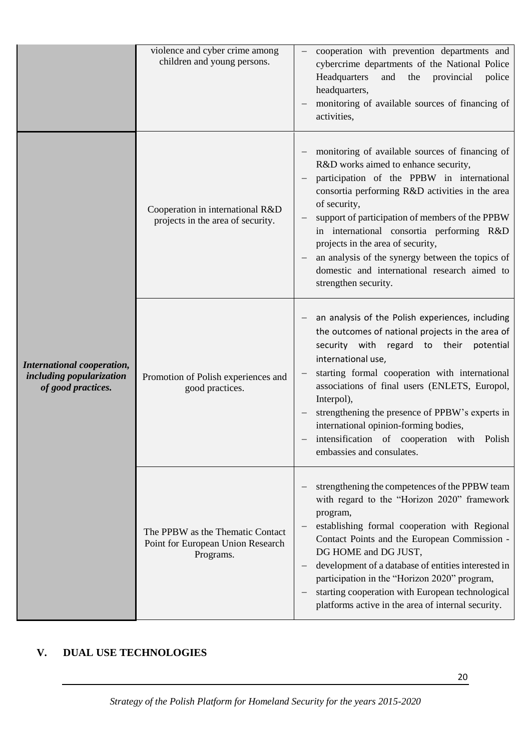|                                                                              | violence and cyber crime among<br>children and young persons.                      | cooperation with prevention departments and<br>cybercrime departments of the National Police<br>Headquarters<br>provincial<br>and<br>the<br>police<br>headquarters,<br>monitoring of available sources of financing of<br>activities,                                                                                                                                                                                                                                     |
|------------------------------------------------------------------------------|------------------------------------------------------------------------------------|---------------------------------------------------------------------------------------------------------------------------------------------------------------------------------------------------------------------------------------------------------------------------------------------------------------------------------------------------------------------------------------------------------------------------------------------------------------------------|
|                                                                              | Cooperation in international R&D<br>projects in the area of security.              | monitoring of available sources of financing of<br>R&D works aimed to enhance security,<br>participation of the PPBW in international<br>consortia performing R&D activities in the area<br>of security,<br>support of participation of members of the PPBW<br>in international consortia performing R&D<br>projects in the area of security,<br>an analysis of the synergy between the topics of<br>domestic and international research aimed to<br>strengthen security. |
| International cooperation,<br>including popularization<br>of good practices. | Promotion of Polish experiences and<br>good practices.                             | an analysis of the Polish experiences, including<br>the outcomes of national projects in the area of<br>security with regard to their potential<br>international use,<br>starting formal cooperation with international<br>associations of final users (ENLETS, Europol,<br>Interpol),<br>strengthening the presence of PPBW's experts in<br>international opinion-forming bodies,<br>intensification of cooperation with Polish<br>embassies and consulates.             |
|                                                                              | The PPBW as the Thematic Contact<br>Point for European Union Research<br>Programs. | strengthening the competences of the PPBW team<br>with regard to the "Horizon 2020" framework<br>program,<br>establishing formal cooperation with Regional<br>Contact Points and the European Commission -<br>DG HOME and DG JUST,<br>development of a database of entities interested in<br>participation in the "Horizon 2020" program,<br>starting cooperation with European technological<br>platforms active in the area of internal security.                       |

## <span id="page-20-0"></span>**V. DUAL USE TECHNOLOGIES**

20